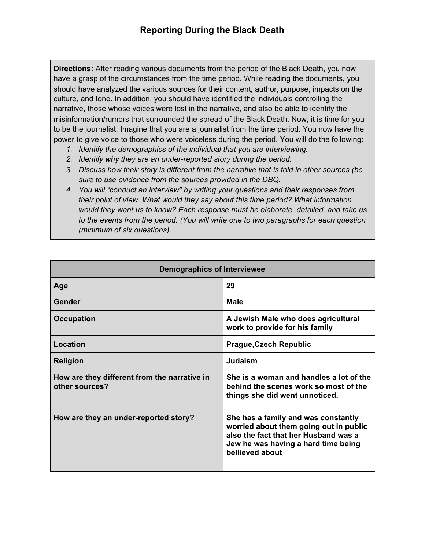**Directions:** After reading various documents from the period of the Black Death, you now have a grasp of the circumstances from the time period. While reading the documents, you should have analyzed the various sources for their content, author, purpose, impacts on the culture, and tone. In addition, you should have identified the individuals controlling the narrative, those whose voices were lost in the narrative, and also be able to identify the misinformation/rumors that surrounded the spread of the Black Death. Now, it is time for you to be the journalist. Imagine that you are a journalist from the time period. You now have the power to give voice to those who were voiceless during the period. You will do the following:

- *1. Identify the demographics of the individual that you are interviewing.*
- *2. Identify why they are an under-reported story during the period.*
- *3. Discuss how their story is different from the narrative that is told in other sources (be sure to use evidence from the sources provided in the DBQ.*
- *4. You will "conduct an interview" by writing your questions and their responses from their point of view. What would they say about this time period? What information would they want us to know? Each response must be elaborate, detailed, and take us to the events from the period. (You will write one to two paragraphs for each question (minimum of six questions).*

| <b>Demographics of Interviewee</b>                             |                                                                                                                                                                                 |
|----------------------------------------------------------------|---------------------------------------------------------------------------------------------------------------------------------------------------------------------------------|
| Age                                                            | 29                                                                                                                                                                              |
| Gender                                                         | <b>Male</b>                                                                                                                                                                     |
| <b>Occupation</b>                                              | A Jewish Male who does agricultural<br>work to provide for his family                                                                                                           |
| Location                                                       | <b>Prague, Czech Republic</b>                                                                                                                                                   |
| <b>Religion</b>                                                | Judaism                                                                                                                                                                         |
| How are they different from the narrative in<br>other sources? | She is a woman and handles a lot of the<br>behind the scenes work so most of the<br>things she did went unnoticed.                                                              |
| How are they an under-reported story?                          | She has a family and was constantly<br>worried about them going out in public<br>also the fact that her Husband was a<br>Jew he was having a hard time being<br>bellieved about |